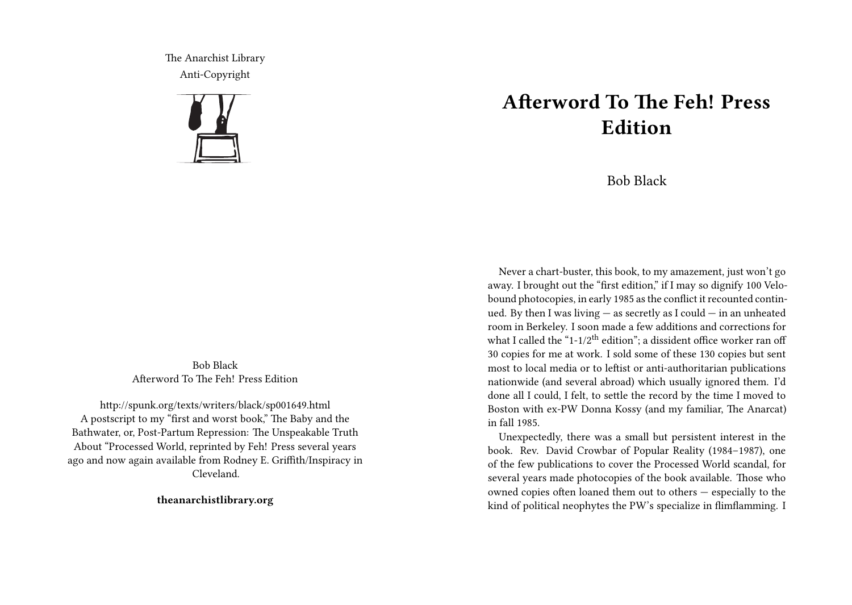The Anarchist Library Anti-Copyright



Bob Black Afterword To The Feh! Press Edition

http://spunk.org/texts/writers/black/sp001649.html A postscript to my "first and worst book," The Baby and the Bathwater, or, Post-Partum Repression: The Unspeakable Truth About "Processed World, reprinted by Feh! Press several years ago and now again available from Rodney E. Griffith/Inspiracy in Cleveland.

**theanarchistlibrary.org**

## **Afterword To The Feh! Press Edition**

Bob Black

Never a chart-buster, this book, to my amazement, just won't go away. I brought out the "first edition," if I may so dignify 100 Velobound photocopies, in early 1985 as the conflict it recounted continued. By then I was living — as secretly as I could — in an unheated room in Berkeley. I soon made a few additions and corrections for what I called the "1-1/2<sup>th</sup> edition"; a dissident office worker ran off 30 copies for me at work. I sold some of these 130 copies but sent most to local media or to leftist or anti-authoritarian publications nationwide (and several abroad) which usually ignored them. I'd done all I could, I felt, to settle the record by the time I moved to Boston with ex-PW Donna Kossy (and my familiar, The Anarcat) in fall 1985.

Unexpectedly, there was a small but persistent interest in the book. Rev. David Crowbar of Popular Reality (1984–1987), one of the few publications to cover the Processed World scandal, for several years made photocopies of the book available. Those who owned copies often loaned them out to others — especially to the kind of political neophytes the PW's specialize in flimflamming. I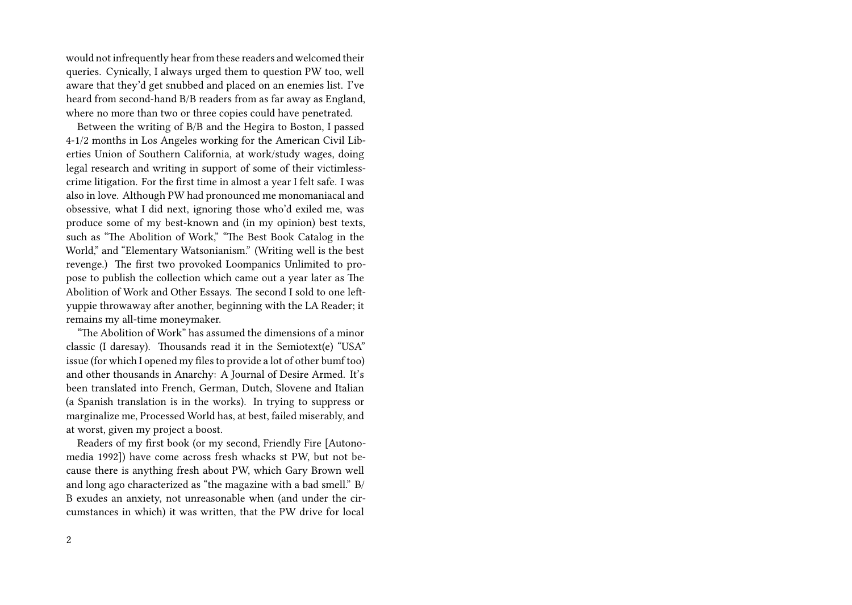would not infrequently hear from these readers and welcomed their queries. Cynically, I always urged them to question PW too, well aware that they'd get snubbed and placed on an enemies list. I've heard from second-hand B/B readers from as far away as England, where no more than two or three copies could have penetrated.

Between the writing of B/B and the Hegira to Boston, I passed 4-1/2 months in Los Angeles working for the American Civil Liberties Union of Southern California, at work/study wages, doing legal research and writing in support of some of their victimlesscrime litigation. For the first time in almost a year I felt safe. I was also in love. Although PW had pronounced me monomaniacal and obsessive, what I did next, ignoring those who'd exiled me, was produce some of my best-known and (in my opinion) best texts, such as "The Abolition of Work," "The Best Book Catalog in the World," and "Elementary Watsonianism." (Writing well is the best revenge.) The first two provoked Loompanics Unlimited to propose to publish the collection which came out a year later as The Abolition of Work and Other Essays. The second I sold to one leftyuppie throwaway after another, beginning with the LA Reader; it remains my all-time moneymaker.

"The Abolition of Work" has assumed the dimensions of a minor classic (I daresay). Thousands read it in the Semiotext(e) "USA" issue (for which I opened my files to provide a lot of other bumf too) and other thousands in Anarchy: A Journal of Desire Armed. It's been translated into French, German, Dutch, Slovene and Italian (a Spanish translation is in the works). In trying to suppress or marginalize me, Processed World has, at best, failed miserably, and at worst, given my project a boost.

Readers of my first book (or my second, Friendly Fire [Autonomedia 1992]) have come across fresh whacks st PW, but not because there is anything fresh about PW, which Gary Brown well and long ago characterized as "the magazine with a bad smell." B/ B exudes an anxiety, not unreasonable when (and under the circumstances in which) it was written, that the PW drive for local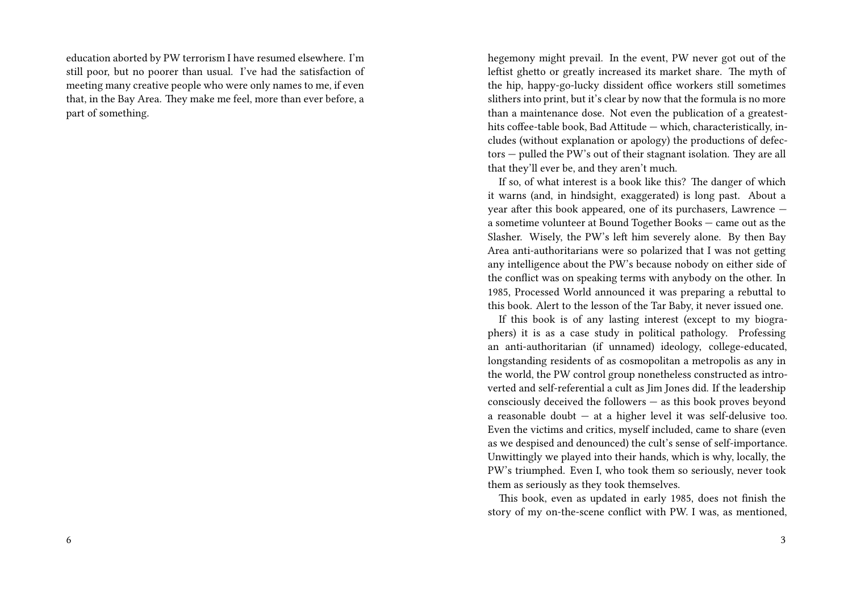education aborted by PW terrorism I have resumed elsewhere. I'm still poor, but no poorer than usual. I've had the satisfaction of meeting many creative people who were only names to me, if even that, in the Bay Area. They make me feel, more than ever before, a part of something.

hegemony might prevail. In the event, PW never got out of the leftist ghetto or greatly increased its market share. The myth of the hip, happy-go-lucky dissident office workers still sometimes slithers into print, but it's clear by now that the formula is no more than a maintenance dose. Not even the publication of a greatesthits coffee-table book, Bad Attitude — which, characteristically, includes (without explanation or apology) the productions of defectors — pulled the PW's out of their stagnant isolation. They are all that they'll ever be, and they aren't much.

If so, of what interest is a book like this? The danger of which it warns (and, in hindsight, exaggerated) is long past. About a year after this book appeared, one of its purchasers, Lawrence a sometime volunteer at Bound Together Books — came out as the Slasher. Wisely, the PW's left him severely alone. By then Bay Area anti-authoritarians were so polarized that I was not getting any intelligence about the PW's because nobody on either side of the conflict was on speaking terms with anybody on the other. In 1985, Processed World announced it was preparing a rebuttal to this book. Alert to the lesson of the Tar Baby, it never issued one.

If this book is of any lasting interest (except to my biographers) it is as a case study in political pathology. Professing an anti-authoritarian (if unnamed) ideology, college-educated, longstanding residents of as cosmopolitan a metropolis as any in the world, the PW control group nonetheless constructed as introverted and self-referential a cult as Jim Jones did. If the leadership consciously deceived the followers — as this book proves beyond a reasonable doubt — at a higher level it was self-delusive too. Even the victims and critics, myself included, came to share (even as we despised and denounced) the cult's sense of self-importance. Unwittingly we played into their hands, which is why, locally, the PW's triumphed. Even I, who took them so seriously, never took them as seriously as they took themselves.

This book, even as updated in early 1985, does not finish the story of my on-the-scene conflict with PW. I was, as mentioned,